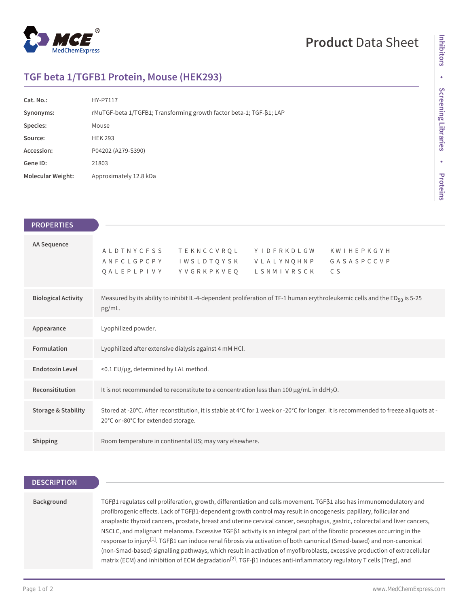

# **Product** Data Sheet

# **TGF beta 1/TGFB1 Protein, Mouse (HEK293)**

| Cat. No.:                | HY-P7117                                                            |
|--------------------------|---------------------------------------------------------------------|
| Synonyms:                | rMuTGF-beta 1/TGFB1; Transforming growth factor beta-1; TGF-81; LAP |
| Species:                 | Mouse                                                               |
| Source:                  | <b>HEK 293</b>                                                      |
| Accession:               | P04202 (A279-S390)                                                  |
| Gene ID:                 | 21803                                                               |
| <b>Molecular Weight:</b> | Approximately 12.8 kDa                                              |

| <b>PROPERTIES</b>              |                                                                                                                                                                                           |  |
|--------------------------------|-------------------------------------------------------------------------------------------------------------------------------------------------------------------------------------------|--|
| AA Sequence                    | A L D T N Y C F S S<br><b>TEKNCCVRQL</b><br>YIDFRKDLGW<br>K W I H E P K G Y H<br>IWSLDTQYSK VLALYNQHNP GASASPCCVP<br>ANFCLGPCPY<br>QALEPLPIVY<br>Y V G R K P K V E Q<br>LSNMIVRSCK<br>C S |  |
| <b>Biological Activity</b>     | Measured by its ability to inhibit IL-4-dependent proliferation of TF-1 human erythroleukemic cells and the $ED_{50}$ is 5-25<br>pg/mL.                                                   |  |
| Appearance                     | Lyophilized powder.                                                                                                                                                                       |  |
| Formulation                    | Lyophilized after extensive dialysis against 4 mM HCl.                                                                                                                                    |  |
| <b>Endotoxin Level</b>         | <0.1 EU/µg, determined by LAL method.                                                                                                                                                     |  |
| Reconsititution                | It is not recommended to reconstitute to a concentration less than 100 $\mu$ g/mL in ddH <sub>2</sub> O.                                                                                  |  |
| <b>Storage &amp; Stability</b> | Stored at -20°C. After reconstitution, it is stable at 4°C for 1 week or -20°C for longer. It is recommended to freeze aliquots at -<br>20°C or -80°C for extended storage.               |  |
| Shipping                       | Room temperature in continental US; may vary elsewhere.                                                                                                                                   |  |

### **DESCRIPTION**

#### **Background**

TGFβ1 regulates cell proliferation, growth, differentiation and cells movement. TGFβ1 also has immunomodulatory and profibrogenic effects. Lack of TGFβ1-dependent growth control may result in oncogenesis: papillary, follicular and anaplastic thyroid cancers, prostate, breast and uterine cervical cancer, oesophagus, gastric, colorectal and liver cancers, NSCLC, and malignant melanoma. Excessive TGFβ1 activity is an integral part of the fibrotic processes occurring in the response to injury<sup>[1]</sup>. TGFβ1 can induce renal fibrosis via activation of both canonical (Smad-based) and non-canonical (non-Smad-based) signalling pathways, which result in activation of myofibroblasts, excessive production of extracellular matrix (ECM) and inhibition of ECM degradation<sup>[2]</sup>. TGF-β1 induces anti-inflammatory regulatory T cells (Treg), and